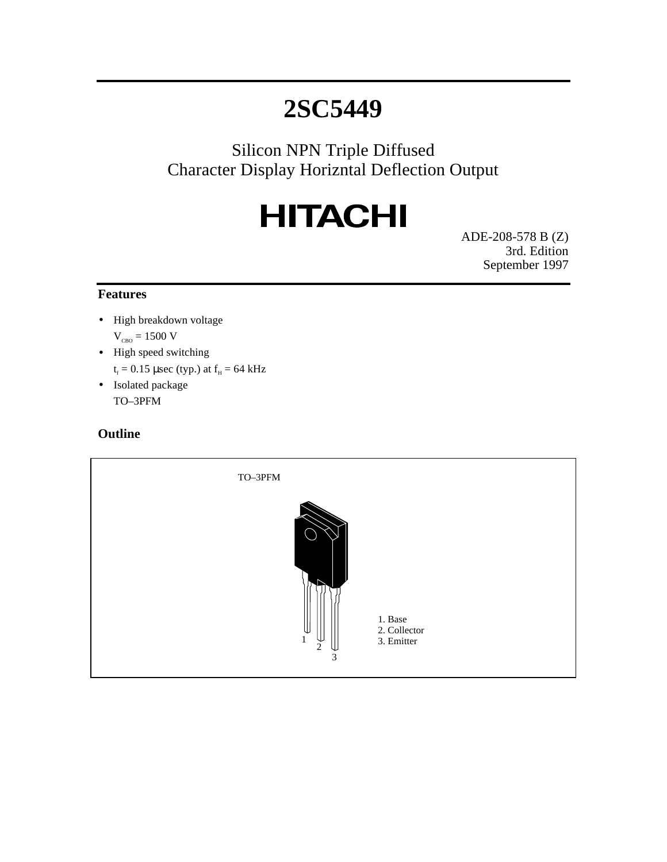Silicon NPN Triple Diffused Character Display Horizntal Deflection Output

# **HITACHI**

ADE-208-578 B (Z) 3rd. Edition September 1997

#### **Features**

- High breakdown voltage  $V_{CBO} = 1500 V$
- High speed switching  $t_f = 0.15$  µsec (typ.) at  $f_H = 64$  kHz
- Isolated package TO–3PFM

#### **Outline**

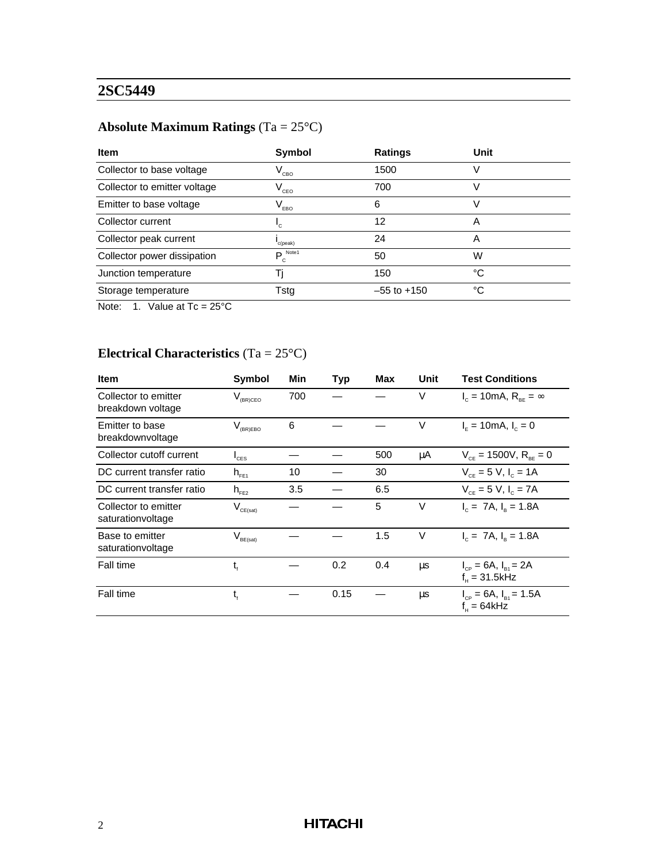## **Absolute Maximum Ratings** (Ta = 25°C)

| Item                         | Symbol                          | <b>Ratings</b>  | Unit |
|------------------------------|---------------------------------|-----------------|------|
| Collector to base voltage    | $\mathsf{V}_{\text{\tiny CBO}}$ | 1500            |      |
| Collector to emitter voltage | $\mathsf{V}_{\mathsf{ceo}}$     | 700             |      |
| Emitter to base voltage      | $V_{EBO}$                       | 6               |      |
| Collector current            | ٠c                              | 12              | A    |
| Collector peak current       | c(peak)                         | 24              | A    |
| Collector power dissipation  | $P_c^{\text{Note1}}$            | 50              | W    |
| Junction temperature         |                                 | 150             | °C   |
| Storage temperature          | Tstg                            | $-55$ to $+150$ | °C   |

Note: 1. Value at  $Tc = 25^{\circ}C$ 

### **Electrical Characteristics** (Ta = 25°C)

| <b>Item</b>                               | <b>Symbol</b>        | Min | <b>Typ</b> | Max | Unit | <b>Test Conditions</b>                             |
|-------------------------------------------|----------------------|-----|------------|-----|------|----------------------------------------------------|
| Collector to emitter<br>breakdown voltage | $V_{(BR)CEO}$        | 700 |            |     | V    | $I_c = 10 \text{mA}, R_{\text{RF}} = \infty$       |
| Emitter to base<br>breakdownvoltage       | $V_{(BR)EBO}$        | 6   |            |     | V    | $I_{\rm c} = 10$ mA, $I_{\rm c} = 0$               |
| Collector cutoff current                  | $I_{\text{CES}}$     |     |            | 500 | μA   | $V_{CF} = 1500V, R_{BE} = 0$                       |
| DC current transfer ratio                 | $h_{FE1}$            | 10  |            | 30  |      | $V_{ce} = 5 V, I_c = 1 A$                          |
| DC current transfer ratio                 | $h_{FE2}$            | 3.5 |            | 6.5 |      | $V_{CF} = 5 V, I_{C} = 7A$                         |
| Collector to emitter<br>saturationvoltage | $V_{\text{CE(sat)}}$ |     |            | 5   | V    | $I_c = 7A$ , $I_a = 1.8A$                          |
| Base to emitter<br>saturationvoltage      | $V_{\text{BE(sat)}}$ |     |            | 1.5 | V    | $I_c = 7A$ , $I_a = 1.8A$                          |
| Fall time                                 | t,                   |     | 0.2        | 0.4 | μs   | $I_{CP} = 6A$ , $I_{B1} = 2A$<br>$f_{H} = 31.5kHz$ |
| Fall time                                 | $t_{\rm f}$          |     | 0.15       |     | μs   | $I_{CP} = 6A$ , $I_{B1} = 1.5A$<br>$f_u = 64kHz$   |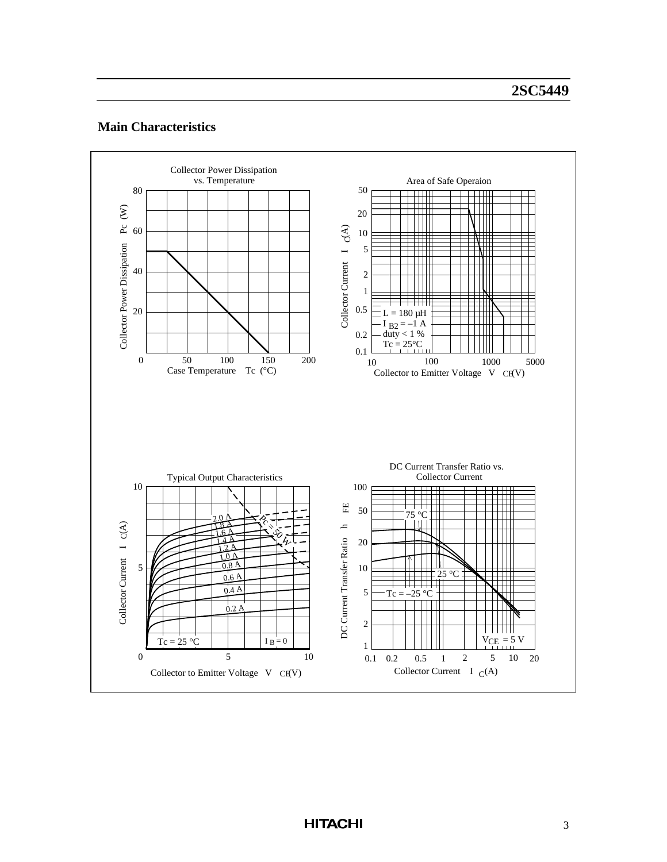#### **Main Characteristics**

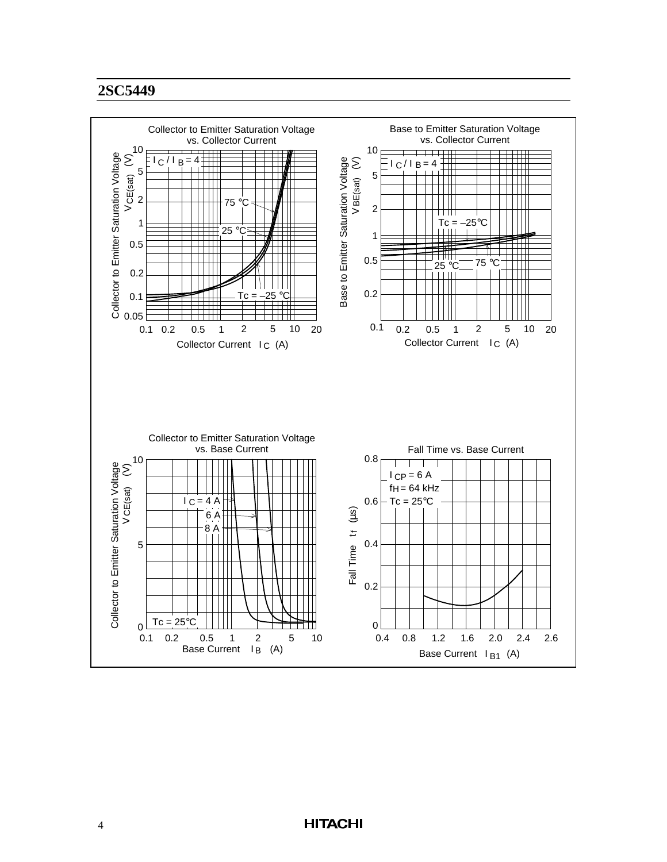

#### **HITACHI**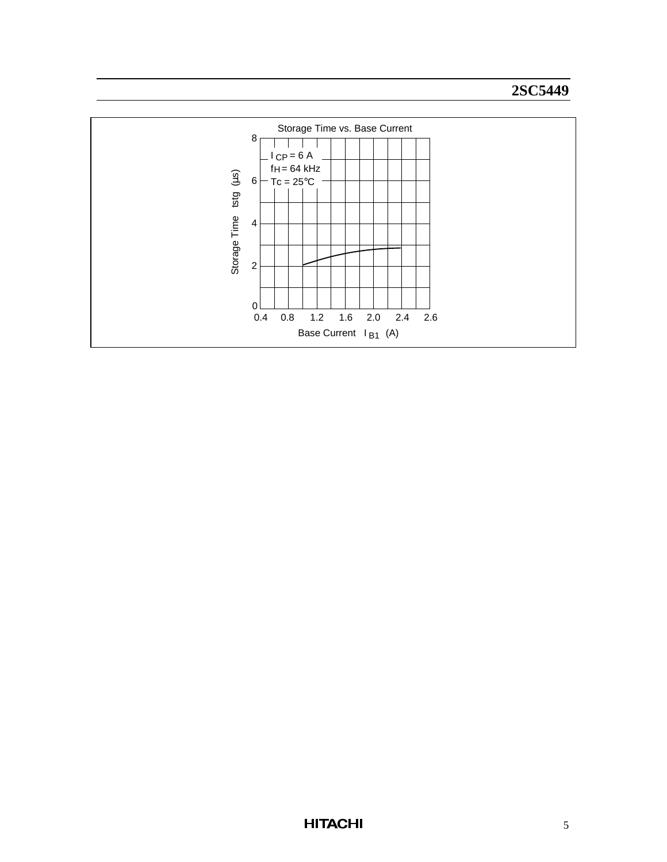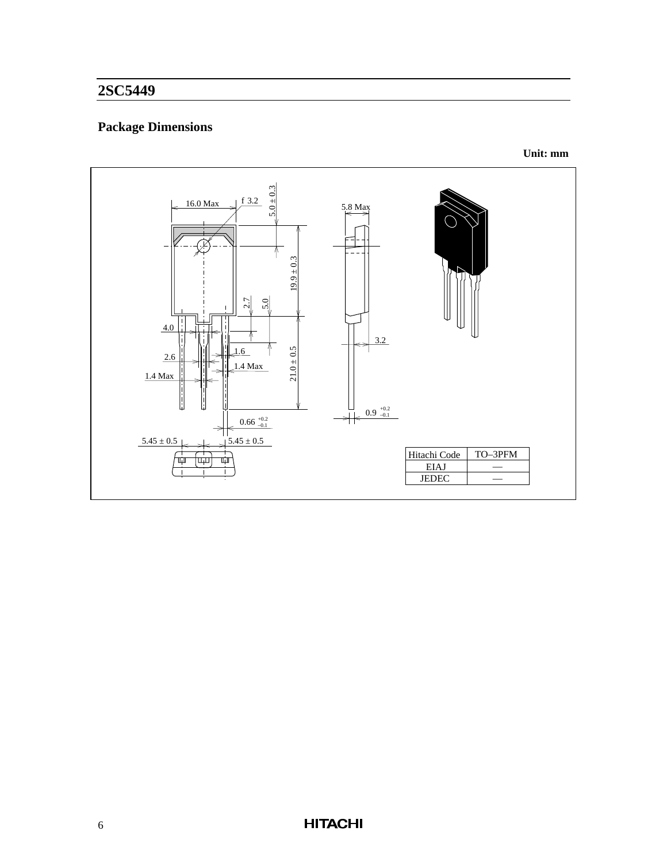## **Package Dimensions**



**Unit: mm**